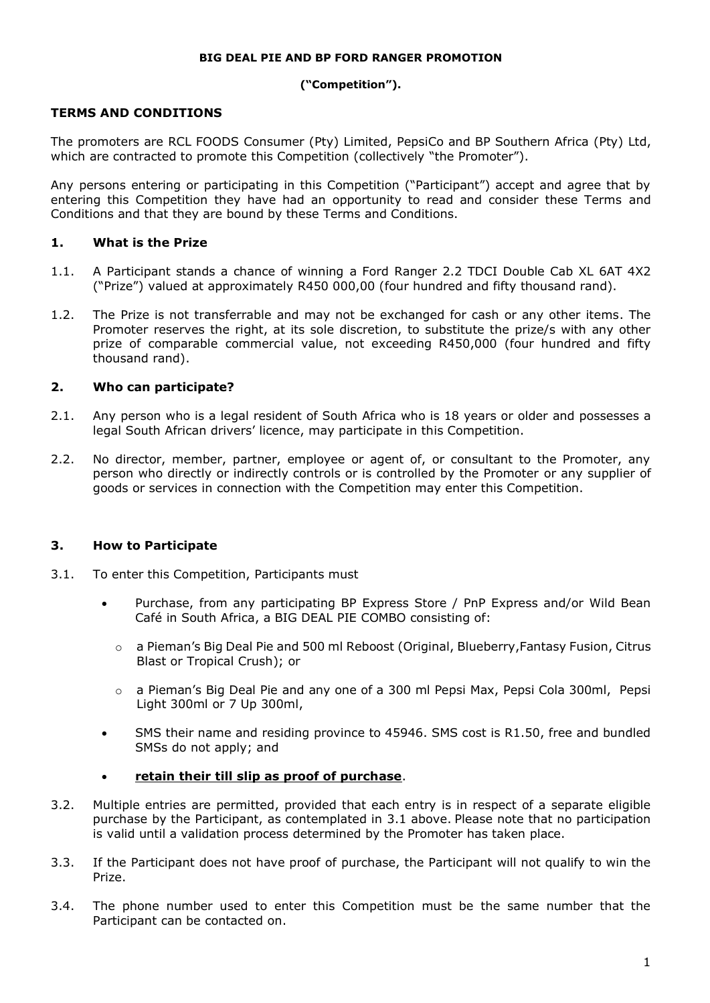#### **BIG DEAL PIE AND BP FORD RANGER PROMOTION**

#### **("Competition").**

### **TERMS AND CONDITIONS**

The promoters are RCL FOODS Consumer (Pty) Limited, PepsiCo and BP Southern Africa (Pty) Ltd, which are contracted to promote this Competition (collectively "the Promoter").

Any persons entering or participating in this Competition ("Participant") accept and agree that by entering this Competition they have had an opportunity to read and consider these Terms and Conditions and that they are bound by these Terms and Conditions.

### **1. What is the Prize**

- 1.1. A Participant stands a chance of winning a Ford Ranger 2.2 TDCI Double Cab XL 6AT 4X2 ("Prize") valued at approximately R450 000,00 (four hundred and fifty thousand rand).
- 1.2. The Prize is not transferrable and may not be exchanged for cash or any other items. The Promoter reserves the right, at its sole discretion, to substitute the prize/s with any other prize of comparable commercial value, not exceeding R450,000 (four hundred and fifty thousand rand).

### **2. Who can participate?**

- 2.1. Any person who is a legal resident of South Africa who is 18 years or older and possesses a legal South African drivers' licence, may participate in this Competition.
- 2.2. No director, member, partner, employee or agent of, or consultant to the Promoter, any person who directly or indirectly controls or is controlled by the Promoter or any supplier of goods or services in connection with the Competition may enter this Competition.

#### **3. How to Participate**

- <span id="page-0-0"></span>3.1. To enter this Competition, Participants must
	- Purchase, from any participating BP Express Store / PnP Express and/or Wild Bean Café in South Africa, a BIG DEAL PIE COMBO consisting of:
		- o a Pieman's Big Deal Pie and 500 ml Reboost (Original, Blueberry,Fantasy Fusion, Citrus Blast or Tropical Crush); or
		- o a Pieman's Big Deal Pie and any one of a 300 ml Pepsi Max, Pepsi Cola 300ml, Pepsi Light 300ml or 7 Up 300ml,
	- SMS their name and residing province to 45946. SMS cost is R1.50, free and bundled SMSs do not apply; and
	- **retain their till slip as proof of purchase**.
- 3.2. Multiple entries are permitted, provided that each entry is in respect of a separate eligible purchase by the Participant, as contemplated in [3.1](#page-0-0) above. Please note that no participation is valid until a validation process determined by the Promoter has taken place.
- 3.3. If the Participant does not have proof of purchase, the Participant will not qualify to win the Prize.
- 3.4. The phone number used to enter this Competition must be the same number that the Participant can be contacted on.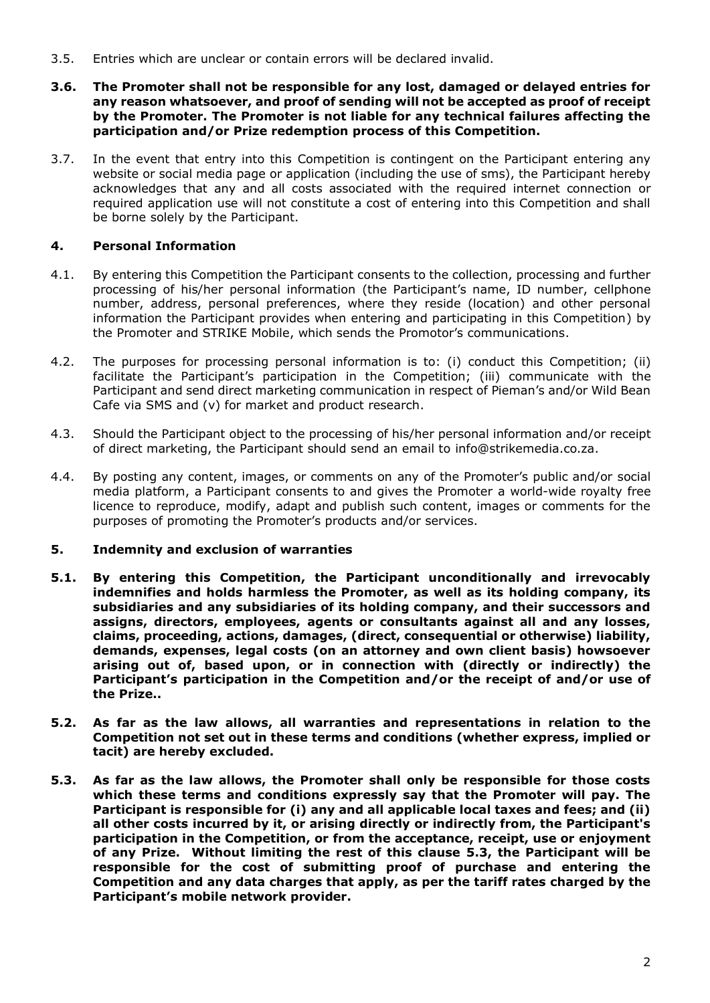- 3.5. Entries which are unclear or contain errors will be declared invalid.
- **3.6. The Promoter shall not be responsible for any lost, damaged or delayed entries for any reason whatsoever, and proof of sending will not be accepted as proof of receipt by the Promoter. The Promoter is not liable for any technical failures affecting the participation and/or Prize redemption process of this Competition.**
- 3.7. In the event that entry into this Competition is contingent on the Participant entering any website or social media page or application (including the use of sms), the Participant hereby acknowledges that any and all costs associated with the required internet connection or required application use will not constitute a cost of entering into this Competition and shall be borne solely by the Participant.

## **4. Personal Information**

- 4.1. By entering this Competition the Participant consents to the collection, processing and further processing of his/her personal information (the Participant's name, ID number, cellphone number, address, personal preferences, where they reside (location) and other personal information the Participant provides when entering and participating in this Competition) by the Promoter and STRIKE Mobile, which sends the Promotor's communications.
- 4.2. The purposes for processing personal information is to: (i) conduct this Competition; (ii) facilitate the Participant's participation in the Competition; (iii) communicate with the Participant and send direct marketing communication in respect of Pieman's and/or Wild Bean Cafe via SMS and (v) for market and product research.
- 4.3. Should the Participant object to the processing of his/her personal information and/or receipt of direct marketing, the Participant should send an email to info@strikemedia.co.za.
- 4.4. By posting any content, images, or comments on any of the Promoter's public and/or social media platform, a Participant consents to and gives the Promoter a world-wide royalty free licence to reproduce, modify, adapt and publish such content, images or comments for the purposes of promoting the Promoter's products and/or services.

## **5. Indemnity and exclusion of warranties**

- **5.1. By entering this Competition, the Participant unconditionally and irrevocably indemnifies and holds harmless the Promoter, as well as its holding company, its subsidiaries and any subsidiaries of its holding company, and their successors and assigns, directors, employees, agents or consultants against all and any losses, claims, proceeding, actions, damages, (direct, consequential or otherwise) liability, demands, expenses, legal costs (on an attorney and own client basis) howsoever arising out of, based upon, or in connection with (directly or indirectly) the Participant's participation in the Competition and/or the receipt of and/or use of the Prize..**
- **5.2. As far as the law allows, all warranties and representations in relation to the Competition not set out in these terms and conditions (whether express, implied or tacit) are hereby excluded.**
- <span id="page-1-0"></span>**5.3. As far as the law allows, the Promoter shall only be responsible for those costs which these terms and conditions expressly say that the Promoter will pay. The Participant is responsible for (i) any and all applicable local taxes and fees; and (ii) all other costs incurred by it, or arising directly or indirectly from, the Participant's participation in the Competition, or from the acceptance, receipt, use or enjoyment of any Prize. Without limiting the rest of this clause [5.3,](#page-1-0) the Participant will be responsible for the cost of submitting proof of purchase and entering the Competition and any data charges that apply, as per the tariff rates charged by the Participant's mobile network provider.**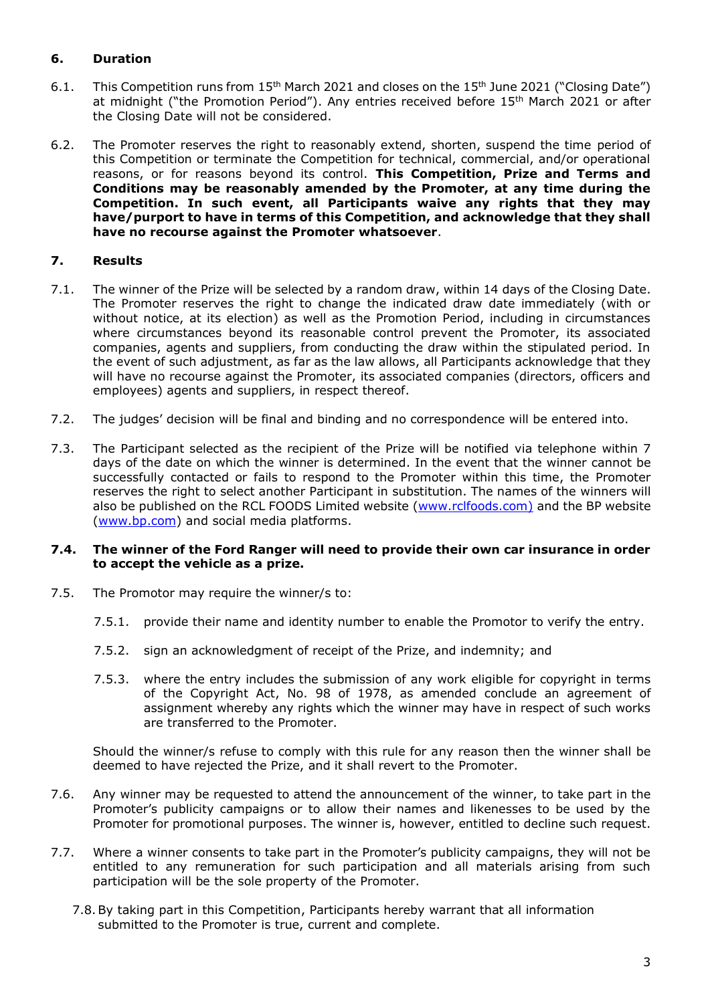# **6. Duration**

- 6.1. This Competition runs from 15<sup>th</sup> March 2021 and closes on the 15<sup>th</sup> June 2021 ("Closing Date") at midnight ("the Promotion Period"). Any entries received before 15<sup>th</sup> March 2021 or after the Closing Date will not be considered.
- 6.2. The Promoter reserves the right to reasonably extend, shorten, suspend the time period of this Competition or terminate the Competition for technical, commercial, and/or operational reasons, or for reasons beyond its control. **This Competition, Prize and Terms and Conditions may be reasonably amended by the Promoter, at any time during the Competition. In such event, all Participants waive any rights that they may have/purport to have in terms of this Competition, and acknowledge that they shall have no recourse against the Promoter whatsoever**.

## **7. Results**

- 7.1. The winner of the Prize will be selected by a random draw, within 14 days of the Closing Date. The Promoter reserves the right to change the indicated draw date immediately (with or without notice, at its election) as well as the Promotion Period, including in circumstances where circumstances beyond its reasonable control prevent the Promoter, its associated companies, agents and suppliers, from conducting the draw within the stipulated period. In the event of such adjustment, as far as the law allows, all Participants acknowledge that they will have no recourse against the Promoter, its associated companies (directors, officers and employees) agents and suppliers, in respect thereof.
- 7.2. The judges' decision will be final and binding and no correspondence will be entered into.
- 7.3. The Participant selected as the recipient of the Prize will be notified via telephone within 7 days of the date on which the winner is determined. In the event that the winner cannot be successfully contacted or fails to respond to the Promoter within this time, the Promoter reserves the right to select another Participant in substitution. The names of the winners will also be published on the RCL FOODS Limited website [\(www.rclfoods.com\)](http://www.rclfoods.com/) and the BP website (www.bp.com) and social media platforms.

#### **7.4. The winner of the Ford Ranger will need to provide their own car insurance in order to accept the vehicle as a prize.**

- 7.5. The Promotor may require the winner/s to:
	- 7.5.1. provide their name and identity number to enable the Promotor to verify the entry.
	- 7.5.2. sign an acknowledgment of receipt of the Prize, and indemnity; and
	- 7.5.3. where the entry includes the submission of any work eligible for copyright in terms of the Copyright Act, No. 98 of 1978, as amended conclude an agreement of assignment whereby any rights which the winner may have in respect of such works are transferred to the Promoter.

Should the winner/s refuse to comply with this rule for any reason then the winner shall be deemed to have rejected the Prize, and it shall revert to the Promoter.

- 7.6. Any winner may be requested to attend the announcement of the winner, to take part in the Promoter's publicity campaigns or to allow their names and likenesses to be used by the Promoter for promotional purposes. The winner is, however, entitled to decline such request.
- 7.7. Where a winner consents to take part in the Promoter's publicity campaigns, they will not be entitled to any remuneration for such participation and all materials arising from such participation will be the sole property of the Promoter.
	- 7.8.By taking part in this Competition, Participants hereby warrant that all information submitted to the Promoter is true, current and complete.